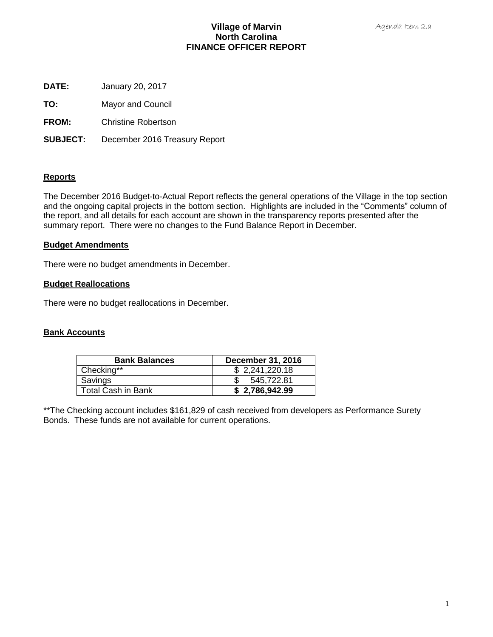# **Village of Marvin North Carolina FINANCE OFFICER REPORT**

- **DATE:** January 20, 2017
- **TO:** Mayor and Council
- **FROM:** Christine Robertson
- **SUBJECT:** December 2016 Treasury Report

## **Reports**

The December 2016 Budget-to-Actual Report reflects the general operations of the Village in the top section and the ongoing capital projects in the bottom section. Highlights are included in the "Comments" column of the report, and all details for each account are shown in the transparency reports presented after the summary report. There were no changes to the Fund Balance Report in December.

## **Budget Amendments**

There were no budget amendments in December.

## **Budget Reallocations**

There were no budget reallocations in December.

## **Bank Accounts**

| <b>Bank Balances</b>      | December 31, 2016 |
|---------------------------|-------------------|
| Checking**                | \$2,241,220.18    |
| Savings                   | 545,722.81        |
| <b>Total Cash in Bank</b> | \$2,786,942.99    |

\*\*The Checking account includes \$161,829 of cash received from developers as Performance Surety Bonds. These funds are not available for current operations.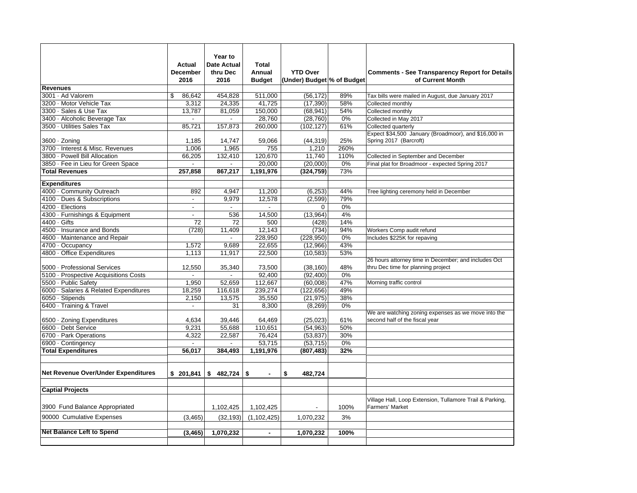|                                        |                 | Year to            |                |                            |      |                                                          |
|----------------------------------------|-----------------|--------------------|----------------|----------------------------|------|----------------------------------------------------------|
|                                        | <b>Actual</b>   | <b>Date Actual</b> | <b>Total</b>   |                            |      |                                                          |
|                                        | <b>December</b> | thru Dec           | Annual         | <b>YTD Over</b>            |      | <b>Comments - See Transparency Report for Details</b>    |
|                                        | 2016            | 2016               | <b>Budget</b>  | (Under) Budget % of Budget |      | of Current Month                                         |
| <b>Revenues</b>                        |                 |                    |                |                            |      |                                                          |
| 3001 · Ad Valorem                      | 86.642<br>\$    | 454,828            | 511,000        | (56, 172)                  | 89%  | Tax bills were mailed in August, due January 2017        |
| 3200 · Motor Vehicle Tax               | 3,312           | 24,335             | 41,725         | (17, 390)                  | 58%  | Collected monthly                                        |
| 3300 · Sales & Use Tax                 | 13.787          | 81.059             | 150,000        | (68, 941)                  | 54%  | Collected monthly                                        |
| 3400 · Alcoholic Beverage Tax          | $\overline{a}$  | $\sim$             | 28,760         | (28, 760)                  | 0%   | Collected in May 2017                                    |
| 3500 · Utilities Sales Tax             | 85,721          | 157,873            | 260,000        | (102, 127)                 | 61%  | Collected quarterly                                      |
|                                        |                 |                    |                |                            |      | Expect \$34,500 January (Broadmoor), and \$16,000 in     |
| $3600 \cdot$ Zoning                    | 1,185           | 14,747             | 59,066         | (44, 319)                  | 25%  | Spring 2017 (Barcroft)                                   |
| 3700 · Interest & Misc. Revenues       | 1,006           | 1,965              | 755            | 1,210                      | 260% |                                                          |
| 3800 · Powell Bill Allocation          | 66,205          | 132,410            | 120,670        | 11,740                     | 110% | Collected in September and December                      |
| 3850 · Fee in Lieu for Green Space     | $\Box$          | $\Box$             | 20,000         | (20,000)                   | 0%   | Final plat for Broadmoor - expected Spring 2017          |
| <b>Total Revenues</b>                  | 257.858         | 867.217            | 1.191.976      | (324, 759)                 | 73%  |                                                          |
| <b>Expenditures</b>                    |                 |                    |                |                            |      |                                                          |
| 4000 · Community Outreach              | 892             | 4.947              | 11,200         | (6, 253)                   | 44%  | Tree lighting ceremony held in December                  |
| 4100 · Dues & Subscriptions            | $\blacksquare$  | 9,979              | 12,578         | (2,599)                    | 79%  |                                                          |
| 4200 · Elections                       | $\sim$          | $\blacksquare$     |                | $\Omega$                   | 0%   |                                                          |
| 4300 · Furnishings & Equipment         |                 | 536                | 14,500         | (13,964)                   | 4%   |                                                          |
| 4400 Gifts                             | 72              | 72                 | 500            | (428)                      | 14%  |                                                          |
| 4500 · Insurance and Bonds             | (728)           | 11,409             | 12,143         | (734)                      | 94%  | Workers Comp audit refund                                |
| 4600 · Maintenance and Repair          |                 | $\mathbf{r}$       | 228,950        |                            | 0%   |                                                          |
| 4700 · Occupancy                       | 1,572           | 9.689              | 22,655         | (228, 950)<br>(12.966)     | 43%  | Includes \$225K for repaving                             |
| 4800 · Office Expenditures             | 1,113           | 11,917             | 22,500         | (10, 583)                  | 53%  |                                                          |
|                                        |                 |                    |                |                            |      | 26 hours attorney time in December; and includes Oct     |
| 5000 · Professional Services           | 12,550          | 35,340             | 73,500         | (38, 160)                  | 48%  | thru Dec time for planning project                       |
| 5100 - Prospective Acquisitions Costs  | $\sim$          | $\sim$             | 92,400         | (92, 400)                  | 0%   |                                                          |
| 5500 · Public Safety                   | 1.950           | 52,659             | 112,667        | (60,008)                   | 47%  | Morning traffic control                                  |
| 6000 · Salaries & Related Expenditures | 18,259          | 116,618            | 239,274        | (122, 656)                 | 49%  |                                                          |
| 6050 · Stipends                        | 2,150           | 13,575             | 35,550         | (21, 975)                  | 38%  |                                                          |
| 6400 · Training & Travel               |                 | 31                 | 8,300          | (8, 269)                   | 0%   |                                                          |
|                                        |                 |                    |                |                            |      | We are watching zoning expenses as we move into the      |
| 6500 · Zoning Expenditures             | 4,634           | 39,446             | 64,469         | (25, 023)                  | 61%  | second half of the fiscal year                           |
| 6600 · Debt Service                    | 9,231           | 55,688             | 110,651        | (54, 963)                  | 50%  |                                                          |
| 6700 · Park Operations                 | 4,322           | 22.587             | 76.424         | (53, 837)                  | 30%  |                                                          |
| 6900 · Contingency                     |                 |                    | 53.715         | (53, 715)                  | 0%   |                                                          |
| <b>Total Expenditures</b>              | 56,017          | 384,493            | 1,191,976      | (807, 483)                 | 32%  |                                                          |
|                                        |                 |                    |                |                            |      |                                                          |
|                                        |                 |                    |                |                            |      |                                                          |
| Net Revenue Over/Under Expenditures    | \$201,841       |                    | $\blacksquare$ | \$<br>482.724              |      |                                                          |
|                                        |                 |                    |                |                            |      |                                                          |
| <b>Captial Projects</b>                |                 |                    |                |                            |      |                                                          |
|                                        |                 |                    |                |                            |      | Village Hall, Loop Extension, Tullamore Trail & Parking, |
| 3900 Fund Balance Appropriated         |                 | 1,102,425          | 1,102,425      | $\overline{\phantom{a}}$   | 100% | <b>Farmers' Market</b>                                   |
| 90000 Cumulative Expenses              | (3, 465)        | (32, 193)          | (1, 102, 425)  | 1,070,232                  | 3%   |                                                          |
|                                        |                 |                    |                |                            |      |                                                          |
| <b>Net Balance Left to Spend</b>       | (3, 465)        | 1,070,232          | $\blacksquare$ | 1,070,232                  | 100% |                                                          |
|                                        |                 |                    |                |                            |      |                                                          |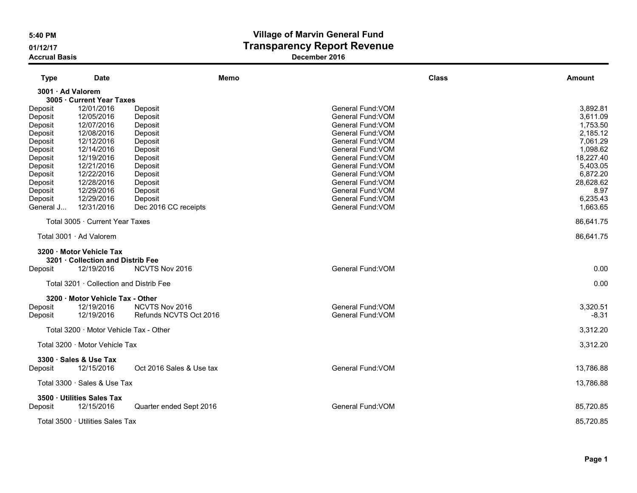# 5:40 PM Village of Marvin General Fund 01/12/17 Contract Contract Contract Contract Transparency Report Revenue

| <b>Type</b>                                                                 | <b>Date</b>                                                                                    |                                                                                        | Memo |                                                                                                                                                 | <b>Class</b><br><b>Amount</b> |                                                                      |
|-----------------------------------------------------------------------------|------------------------------------------------------------------------------------------------|----------------------------------------------------------------------------------------|------|-------------------------------------------------------------------------------------------------------------------------------------------------|-------------------------------|----------------------------------------------------------------------|
| 3001 · Ad Valorem                                                           |                                                                                                |                                                                                        |      |                                                                                                                                                 |                               |                                                                      |
|                                                                             | 3005 · Current Year Taxes                                                                      |                                                                                        |      |                                                                                                                                                 |                               |                                                                      |
| Deposit<br>Deposit<br>Deposit<br>Deposit<br>Deposit<br>Deposit              | 12/01/2016<br>12/05/2016<br>12/07/2016<br>12/08/2016<br>12/12/2016<br>12/14/2016               | Deposit<br>Deposit<br>Deposit<br>Deposit<br>Deposit<br>Deposit                         |      | General Fund: VOM<br>General Fund: VOM<br>General Fund: VOM<br>General Fund: VOM<br>General Fund: VOM<br>General Fund: VOM                      |                               | 3,892.81<br>3,611.09<br>1,753.50<br>2,185.12<br>7,061.29<br>1,098.62 |
| Deposit<br>Deposit<br>Deposit<br>Deposit<br>Deposit<br>Deposit<br>General J | 12/19/2016<br>12/21/2016<br>12/22/2016<br>12/28/2016<br>12/29/2016<br>12/29/2016<br>12/31/2016 | Deposit<br>Deposit<br>Deposit<br>Deposit<br>Deposit<br>Deposit<br>Dec 2016 CC receipts |      | General Fund: VOM<br>General Fund: VOM<br>General Fund: VOM<br>General Fund: VOM<br>General Fund: VOM<br>General Fund: VOM<br>General Fund: VOM | 18,227.40<br>28,628.62        | 5,403.05<br>6,872.20<br>8.97<br>6,235.43<br>1,663.65                 |
|                                                                             | Total 3005 · Current Year Taxes                                                                |                                                                                        |      |                                                                                                                                                 | 86,641.75                     |                                                                      |
|                                                                             | Total 3001 · Ad Valorem                                                                        |                                                                                        |      |                                                                                                                                                 | 86,641.75                     |                                                                      |
| Deposit                                                                     | 3200 · Motor Vehicle Tax<br>3201 Collection and Distrib Fee<br>12/19/2016                      | NCVTS Nov 2016                                                                         |      | General Fund: VOM                                                                                                                               |                               | 0.00                                                                 |
|                                                                             | Total 3201 · Collection and Distrib Fee                                                        |                                                                                        |      |                                                                                                                                                 |                               | 0.00                                                                 |
| Deposit<br>Deposit                                                          | 3200 · Motor Vehicle Tax - Other<br>12/19/2016<br>12/19/2016                                   | NCVTS Nov 2016<br>Refunds NCVTS Oct 2016                                               |      | General Fund: VOM<br>General Fund: VOM                                                                                                          |                               | 3,320.51<br>$-8.31$                                                  |
|                                                                             | Total 3200 Motor Vehicle Tax - Other                                                           |                                                                                        |      |                                                                                                                                                 |                               | 3,312.20                                                             |
|                                                                             | Total 3200 · Motor Vehicle Tax                                                                 |                                                                                        |      |                                                                                                                                                 |                               | 3,312.20                                                             |
| Deposit                                                                     | 3300 · Sales & Use Tax<br>12/15/2016                                                           | Oct 2016 Sales & Use tax                                                               |      | General Fund: VOM                                                                                                                               | 13,786.88                     |                                                                      |
|                                                                             | Total 3300 $\cdot$ Sales & Use Tax                                                             |                                                                                        |      |                                                                                                                                                 | 13,786.88                     |                                                                      |
| Deposit                                                                     | 3500 · Utilities Sales Tax<br>12/15/2016                                                       | Quarter ended Sept 2016                                                                |      | General Fund: VOM                                                                                                                               | 85,720.85                     |                                                                      |
|                                                                             | Total 3500 · Utilities Sales Tax                                                               |                                                                                        |      |                                                                                                                                                 | 85,720.85                     |                                                                      |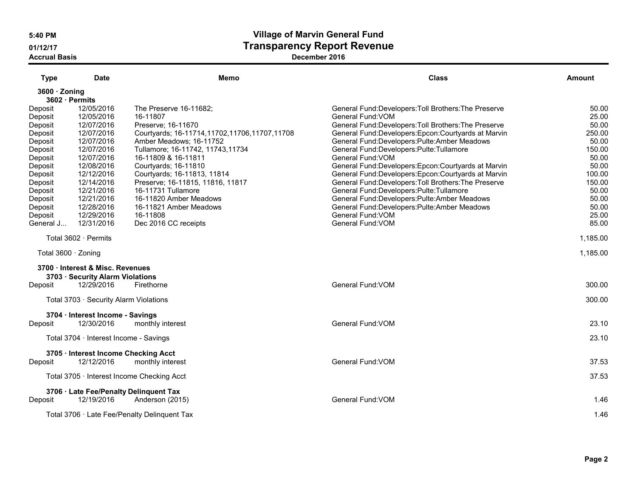# 5:40 PM Village of Marvin General Fund 01/12/17 Contract Contract Contract Contract Transparency Report Revenue

| <b>Type</b>         | <b>Date</b>                            | Memo                                             | <b>Class</b>                                       | Amount   |
|---------------------|----------------------------------------|--------------------------------------------------|----------------------------------------------------|----------|
| 3600 · Zoning       |                                        |                                                  |                                                    |          |
|                     | 3602 · Permits                         |                                                  |                                                    |          |
| Deposit             | 12/05/2016                             | The Preserve 16-11682;                           | General Fund:Developers:Toll Brothers:The Preserve | 50.00    |
| Deposit             | 12/05/2016                             | 16-11807                                         | General Fund: VOM                                  | 25.00    |
| Deposit             | 12/07/2016                             | Preserve; 16-11670                               | General Fund:Developers:Toll Brothers:The Preserve | 50.00    |
| Deposit             | 12/07/2016                             | Courtyards; 16-11714, 11702, 11706, 11707, 11708 | General Fund:Developers:Epcon:Courtyards at Marvin | 250.00   |
| Deposit             | 12/07/2016                             | Amber Meadows: 16-11752                          | General Fund:Developers:Pulte:Amber Meadows        | 50.00    |
| Deposit             | 12/07/2016                             | Tullamore; 16-11742, 11743, 11734                | General Fund: Developers: Pulte: Tullamore         | 150.00   |
| Deposit             | 12/07/2016                             | 16-11809 & 16-11811                              | General Fund: VOM                                  | 50.00    |
| Deposit             | 12/08/2016                             | Courtyards; 16-11810                             | General Fund:Developers:Epcon:Courtyards at Marvin | 50.00    |
| Deposit             | 12/12/2016                             | Courtyards; 16-11813, 11814                      | General Fund:Developers:Epcon:Courtyards at Marvin | 100.00   |
| Deposit             | 12/14/2016                             | Preserve; 16-11815, 11816, 11817                 | General Fund:Developers:Toll Brothers:The Preserve | 150.00   |
| Deposit             | 12/21/2016                             | 16-11731 Tullamore                               | General Fund:Developers:Pulte:Tullamore            | 50.00    |
| Deposit             | 12/21/2016                             | 16-11820 Amber Meadows                           | General Fund:Developers:Pulte:Amber Meadows        | 50.00    |
| Deposit             | 12/28/2016                             | 16-11821 Amber Meadows                           | General Fund: Developers: Pulte: Amber Meadows     | 50.00    |
| Deposit             | 12/29/2016                             | 16-11808                                         | General Fund: VOM                                  | 25.00    |
| General J           | 12/31/2016                             | Dec 2016 CC receipts                             | General Fund: VOM                                  | 85.00    |
|                     | Total $3602 \cdot$ Permits             |                                                  |                                                    | 1,185.00 |
| Total 3600 · Zoning |                                        |                                                  |                                                    | 1,185.00 |
|                     | 3700 · Interest & Misc. Revenues       |                                                  |                                                    |          |
|                     | 3703 · Security Alarm Violations       |                                                  |                                                    |          |
| Deposit             | 12/29/2016                             | Firethorne                                       | General Fund: VOM                                  | 300.00   |
|                     | Total 3703 · Security Alarm Violations |                                                  |                                                    | 300.00   |
|                     | 3704 · Interest Income - Savings       |                                                  |                                                    |          |
| Deposit             | 12/30/2016                             | monthly interest                                 | General Fund: VOM                                  | 23.10    |
|                     | Total 3704 · Interest Income - Savings |                                                  |                                                    | 23.10    |
|                     | 3705 · Interest Income Checking Acct   |                                                  |                                                    |          |
| Deposit             | 12/12/2016                             | monthly interest                                 | General Fund: VOM                                  | 37.53    |
|                     |                                        | Total 3705 · Interest Income Checking Acct       |                                                    | 37.53    |
|                     |                                        | 3706 · Late Fee/Penalty Delinquent Tax           |                                                    |          |
| Deposit             | 12/19/2016                             | Anderson (2015)                                  | General Fund: VOM                                  | 1.46     |
|                     |                                        | Total 3706 · Late Fee/Penalty Delinquent Tax     |                                                    | 1.46     |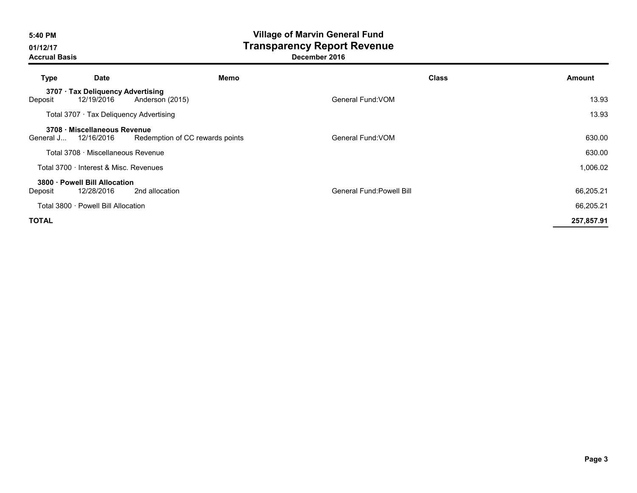# 5:40 PM Village of Marvin General Fund 01/12/17 Contract Contract Contract Contract Transparency Report Revenue

| Type         | <b>Date</b>                                     | Memo                            | <b>Class</b>              | Amount     |
|--------------|-------------------------------------------------|---------------------------------|---------------------------|------------|
| Deposit      | 3707 · Tax Deliquency Advertising<br>12/19/2016 | Anderson (2015)                 | General Fund: VOM         | 13.93      |
|              | Total 3707 Tax Deliquency Advertising           |                                 |                           | 13.93      |
| General J    | 3708 · Miscellaneous Revenue<br>12/16/2016      | Redemption of CC rewards points | General Fund: VOM         | 630.00     |
|              | Total 3708 · Miscellaneous Revenue              |                                 |                           | 630.00     |
|              | Total 3700 · Interest & Misc. Revenues          |                                 |                           | 1,006.02   |
| Deposit      | 3800 · Powell Bill Allocation<br>12/28/2016     | 2nd allocation                  | General Fund: Powell Bill | 66,205.21  |
|              | Total 3800 · Powell Bill Allocation             |                                 |                           | 66,205.21  |
| <b>TOTAL</b> |                                                 |                                 |                           | 257,857.91 |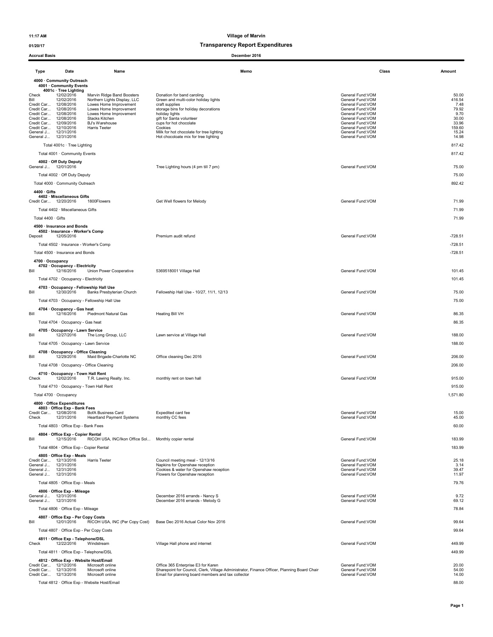### 01/20/17 Transparency Report Expenditures

| Date<br>Type                                                                                                                                                                                                                                      | Name                                                                                                                                                                                          | Memo                                                                                                                                                                                                            | Class                                                                                                                                                             | Amount                                                               |
|---------------------------------------------------------------------------------------------------------------------------------------------------------------------------------------------------------------------------------------------------|-----------------------------------------------------------------------------------------------------------------------------------------------------------------------------------------------|-----------------------------------------------------------------------------------------------------------------------------------------------------------------------------------------------------------------|-------------------------------------------------------------------------------------------------------------------------------------------------------------------|----------------------------------------------------------------------|
| 4000 · Community Outreach                                                                                                                                                                                                                         |                                                                                                                                                                                               |                                                                                                                                                                                                                 |                                                                                                                                                                   |                                                                      |
| 4001 Community Events<br>4001c · Tree Lighting<br>12/02/2016<br>Check<br>Bill<br>12/02/2016<br>Credit Car 12/08/2016<br>Credit Car 12/08/2016<br>Credit Car 12/08/2016<br>Credit Car 12/08/2016<br>Credit Car 12/09/2016<br>Credit Car 12/10/2016 | Marvin Ridge Band Boosters<br>Northern Lights Display, LLC<br>Lowes Home Improvement<br>Lowes Home Improvement<br>Lowes Home Improvement<br>Stacks Kitchen<br>BJ's Warehouse<br>Harris Teeter | Donation for band caroling<br>Green and multi-color holiday lights<br>craft supplies<br>storage bins for holiday decorations<br>holiday lights<br>gift for Santa volunteer<br>cups for hot chocolate<br>Cookies | General Fund: VOM<br>General Fund: VOM<br>General Fund: VOM<br>General Fund:VOM<br>General Fund:VOM<br>General Fund: VOM<br>General Fund: VOM<br>General Fund:VOM | 50.00<br>416.54<br>7.48<br>79.92<br>9.70<br>30.00<br>33.96<br>159.60 |
| General J 12/31/2016<br>General J 12/31/2016                                                                                                                                                                                                      |                                                                                                                                                                                               | Milk for hot chocolate for tree lighting<br>Hot chocoloate mix for tree lighting                                                                                                                                | General Fund:VOM<br>General Fund: VOM                                                                                                                             | 15.24<br>14.98                                                       |
| Total 4001c · Tree Lighting                                                                                                                                                                                                                       |                                                                                                                                                                                               |                                                                                                                                                                                                                 |                                                                                                                                                                   | 817.42                                                               |
| Total 4001 · Community Events                                                                                                                                                                                                                     |                                                                                                                                                                                               |                                                                                                                                                                                                                 |                                                                                                                                                                   | 817.42                                                               |
| 4002 · Off Duty Deputy<br>General J 12/01/2016                                                                                                                                                                                                    |                                                                                                                                                                                               | Tree Lighting hours (4 pm till 7 pm)                                                                                                                                                                            | General Fund:VOM                                                                                                                                                  | 75.00                                                                |
| Total 4002 · Off Duty Deputy                                                                                                                                                                                                                      |                                                                                                                                                                                               |                                                                                                                                                                                                                 |                                                                                                                                                                   | 75.00                                                                |
| Total 4000 · Community Outreach                                                                                                                                                                                                                   |                                                                                                                                                                                               |                                                                                                                                                                                                                 |                                                                                                                                                                   | 892.42                                                               |
| 4400 · Gifts<br>4402 · Miscellaneous Gifts<br>Credit Car 12/20/2016                                                                                                                                                                               | 1800Flowers                                                                                                                                                                                   | Get Well flowers for Melody                                                                                                                                                                                     | General Fund:VOM                                                                                                                                                  | 71.99                                                                |
| Total 4402 · Miscellaneous Gifts                                                                                                                                                                                                                  |                                                                                                                                                                                               |                                                                                                                                                                                                                 |                                                                                                                                                                   | 71.99                                                                |
| Total 4400 · Gifts                                                                                                                                                                                                                                |                                                                                                                                                                                               |                                                                                                                                                                                                                 |                                                                                                                                                                   | 71.99                                                                |
| 4500 · Insurance and Bonds<br>4502 · Insurance - Worker's Comp<br>12/05/2016<br>Deposit                                                                                                                                                           |                                                                                                                                                                                               | Premium audit refund                                                                                                                                                                                            | General Fund:VOM                                                                                                                                                  | $-728.51$                                                            |
| Total 4502 · Insurance - Worker's Comp                                                                                                                                                                                                            |                                                                                                                                                                                               |                                                                                                                                                                                                                 |                                                                                                                                                                   | $-728.51$                                                            |
| Total 4500 · Insurance and Bonds<br>4700 · Occupancy                                                                                                                                                                                              |                                                                                                                                                                                               |                                                                                                                                                                                                                 |                                                                                                                                                                   | $-728.51$                                                            |
| 4702 · Occupancy - Electricity<br>12/16/2016<br>Bill<br>Total 4702 · Occupancy - Electricity                                                                                                                                                      | Union Power Cooperative                                                                                                                                                                       | 5369518001 Village Hall                                                                                                                                                                                         | General Fund:VOM                                                                                                                                                  | 101.45<br>101.45                                                     |
| 4703 Occupancy - Fellowship Hall Use                                                                                                                                                                                                              |                                                                                                                                                                                               |                                                                                                                                                                                                                 |                                                                                                                                                                   |                                                                      |
| Bill<br>12/30/2016                                                                                                                                                                                                                                | Banks Presbyterian Church                                                                                                                                                                     | Fellowship Hall Use - 10/27, 11/1, 12/13                                                                                                                                                                        | General Fund: VOM                                                                                                                                                 | 75.00                                                                |
| Total 4703 · Occupancy - Fellowship Hall Use<br>4704 · Occupancy - Gas heat                                                                                                                                                                       |                                                                                                                                                                                               |                                                                                                                                                                                                                 |                                                                                                                                                                   | 75.00                                                                |
| 12/16/2016<br>Bill                                                                                                                                                                                                                                | <b>Piedmont Natural Gas</b>                                                                                                                                                                   | Heating Bill VH                                                                                                                                                                                                 | General Fund: VOM                                                                                                                                                 | 86.35                                                                |
| Total 4704 · Occupancy - Gas heat                                                                                                                                                                                                                 |                                                                                                                                                                                               |                                                                                                                                                                                                                 |                                                                                                                                                                   | 86.35                                                                |
| 4705 · Occupancy - Lawn Service<br>Bill<br>12/27/2016                                                                                                                                                                                             | The Long Group, LLC                                                                                                                                                                           | Lawn service at Village Hall                                                                                                                                                                                    | General Fund:VOM                                                                                                                                                  | 188.00                                                               |
| Total 4705 · Occupancy - Lawn Service                                                                                                                                                                                                             |                                                                                                                                                                                               |                                                                                                                                                                                                                 |                                                                                                                                                                   | 188.00                                                               |
| 4708 · Occupancy - Office Cleaning<br>Bill<br>12/29/2016                                                                                                                                                                                          | Maid Brigade-Charlotte NC                                                                                                                                                                     | Office cleaning Dec 2016                                                                                                                                                                                        | General Fund: VOM                                                                                                                                                 | 206.00                                                               |
| Total 4708 · Occupancy - Office Cleaning                                                                                                                                                                                                          |                                                                                                                                                                                               |                                                                                                                                                                                                                 |                                                                                                                                                                   | 206.00                                                               |
| 4710 · Occupancy - Town Hall Rent<br>Check<br>12/02/2016                                                                                                                                                                                          | T.R. Lawing Realty. Inc.                                                                                                                                                                      | monthly rent on town hall                                                                                                                                                                                       | General Fund: VOM                                                                                                                                                 | 915.00                                                               |
| Total 4710 · Occupancy - Town Hall Rent                                                                                                                                                                                                           |                                                                                                                                                                                               |                                                                                                                                                                                                                 |                                                                                                                                                                   | 915.00                                                               |
| Total 4700 · Occupancy                                                                                                                                                                                                                            |                                                                                                                                                                                               |                                                                                                                                                                                                                 |                                                                                                                                                                   | 1,571.80                                                             |
| 4800 · Office Expenditures<br>4803 · Office Exp - Bank Fees                                                                                                                                                                                       |                                                                                                                                                                                               |                                                                                                                                                                                                                 | General Fund: VOM                                                                                                                                                 |                                                                      |
| Credit Car 12/08/2016<br>Check<br>12/31/2016                                                                                                                                                                                                      | BofA Business Card<br><b>Heartland Payment Systems</b>                                                                                                                                        | Expedited card fee<br>monthly CC fees                                                                                                                                                                           | General Fund: VOM                                                                                                                                                 | 15.00<br>45.00                                                       |
| Total 4803 · Office Exp - Bank Fees                                                                                                                                                                                                               |                                                                                                                                                                                               |                                                                                                                                                                                                                 |                                                                                                                                                                   | 60.00                                                                |
| 4804 · Office Exp - Copier Rental<br>Bill<br>12/15/2016                                                                                                                                                                                           | RICOH USA, INC/Ikon Office Sol Monthly copier rental                                                                                                                                          |                                                                                                                                                                                                                 | General Fund:VOM                                                                                                                                                  | 183.99                                                               |
| Total 4804 · Office Exp - Copier Rental                                                                                                                                                                                                           |                                                                                                                                                                                               |                                                                                                                                                                                                                 |                                                                                                                                                                   | 183.99                                                               |
| 4805 · Office Exp - Meals<br>Credit Car 12/13/2016                                                                                                                                                                                                | Harris Teeter                                                                                                                                                                                 | Council meeting meal - 12/13/16                                                                                                                                                                                 | General Fund:VOM                                                                                                                                                  | 25.18                                                                |
| General J 12/31/2016<br>General J 12/31/2016                                                                                                                                                                                                      |                                                                                                                                                                                               | Napkins for Openshaw reception<br>Cookies & water for Openshaw reception                                                                                                                                        | General Fund:VOM<br>General Fund: VOM                                                                                                                             | 3.14<br>39.47                                                        |
| General J 12/31/2016<br>Total 4805 · Office Exp - Meals                                                                                                                                                                                           |                                                                                                                                                                                               | Flowers for Openshaw reception                                                                                                                                                                                  | General Fund:VOM                                                                                                                                                  | 11.97<br>79.76                                                       |
| 4806 · Office Exp - Mileage                                                                                                                                                                                                                       |                                                                                                                                                                                               |                                                                                                                                                                                                                 |                                                                                                                                                                   |                                                                      |
| General J 12/31/2016<br>General J 12/31/2016                                                                                                                                                                                                      |                                                                                                                                                                                               | December 2016 errands - Nancy S<br>December 2016 errands - Melody G                                                                                                                                             | General Fund:VOM<br>General Fund:VOM                                                                                                                              | 9.72<br>69.12                                                        |
| Total 4806 · Office Exp - Mileage                                                                                                                                                                                                                 |                                                                                                                                                                                               |                                                                                                                                                                                                                 |                                                                                                                                                                   | 78.84                                                                |
| 4807 · Office Exp - Per Copy Costs<br>Bill<br>12/01/2016                                                                                                                                                                                          | RICOH USA, INC (Per Copy Cost)                                                                                                                                                                | Base Dec 2016 Actual Color Nov 2016                                                                                                                                                                             | General Fund:VOM                                                                                                                                                  | 99.64                                                                |
| Total 4807 · Office Exp - Per Copy Costs                                                                                                                                                                                                          |                                                                                                                                                                                               |                                                                                                                                                                                                                 |                                                                                                                                                                   | 99.64                                                                |
| 4811 · Office Exp - Telephone/DSL<br>12/22/2016<br>Check                                                                                                                                                                                          | Windstream                                                                                                                                                                                    | Village Hall phone and internet                                                                                                                                                                                 | General Fund:VOM                                                                                                                                                  | 449.99                                                               |
| Total 4811 · Office Exp - Telephone/DSL                                                                                                                                                                                                           |                                                                                                                                                                                               |                                                                                                                                                                                                                 |                                                                                                                                                                   | 449.99                                                               |
| 4812 Office Exp - Website Host/Email                                                                                                                                                                                                              | Microsoft online                                                                                                                                                                              | Office 365 Enterprise E3 for Karen                                                                                                                                                                              | General Fund: VOM                                                                                                                                                 | 20.00                                                                |
| Credit Car 12/12/2016<br>Credit Car 12/13/2016<br>Credit Car 12/13/2016                                                                                                                                                                           | Microsoft online<br>Microsoft online                                                                                                                                                          | Sharepoint for Council, Clerk, Village Administrator, Finance Officer, Planning Board Chair<br>Email for planning board members and tax collector                                                               | General Fund:VOM<br>General Fund:VOM                                                                                                                              | 54.00<br>14.00                                                       |
| Total 4812 · Office Exp - Website Host/Email                                                                                                                                                                                                      |                                                                                                                                                                                               |                                                                                                                                                                                                                 |                                                                                                                                                                   | 88.00                                                                |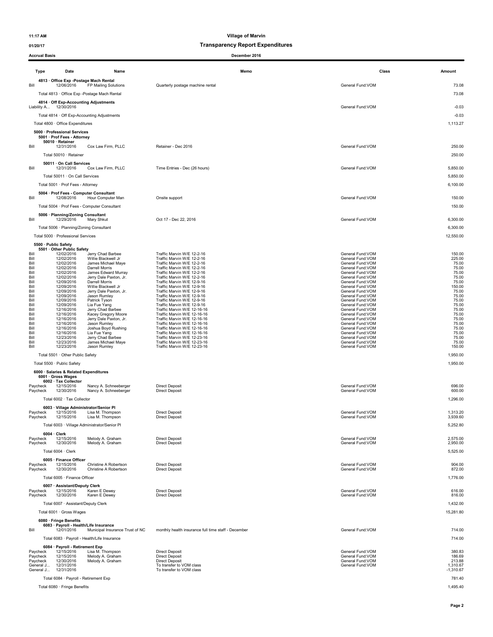### 01/20/17 Transparency Report Expenditures

| <b>Accrual Basis</b>   |                                                                                               |                                                                       | December 2016                                              |                                        |                         |
|------------------------|-----------------------------------------------------------------------------------------------|-----------------------------------------------------------------------|------------------------------------------------------------|----------------------------------------|-------------------------|
| Type                   | Date                                                                                          | Name                                                                  | Memo                                                       | Class                                  | Amount                  |
| Bill                   | 4813 Office Exp - Postage Mach Rental<br>12/06/2016                                           | FP Mailing Solutions<br>Total 4813 · Office Exp - Postage Mach Rental | Quarterly postage machine rental                           | General Fund: VOM                      | 73.08<br>73.08          |
|                        | 4814 · Off Exp-Accounting Adjustments<br>Liability A 12/30/2016                               |                                                                       |                                                            | General Fund:VOM                       | $-0.03$                 |
|                        |                                                                                               | Total 4814 · Off Exp-Accounting Adjustments                           |                                                            |                                        | $-0.03$                 |
|                        | Total 4800 · Office Expenditures                                                              |                                                                       |                                                            |                                        | 1,113.27                |
| Bill                   | 5000 · Professional Services<br>5001 · Prof Fees - Attorney<br>50010 · Retainer<br>12/31/2016 | Cox Law Firm, PLLC                                                    | Retainer - Dec 2016                                        | General Fund:VOM                       | 250.00                  |
|                        | Total 50010 · Retainer                                                                        |                                                                       |                                                            |                                        | 250.00                  |
| Bill                   | 50011 · On Call Services<br>12/31/2016                                                        | Cox Law Firm, PLLC                                                    | Time Entries - Dec (26 hours)                              | General Fund: VOM                      | 5,850.00                |
|                        | Total 50011 · On Call Services                                                                |                                                                       |                                                            |                                        | 5,850.00                |
|                        | Total 5001 · Prof Fees - Attorney                                                             |                                                                       |                                                            |                                        | 6,100.00                |
| Bill                   | 5004 · Prof Fees - Computer Consultant<br>12/08/2016                                          | Hour Computer Man                                                     | Onsite support                                             | General Fund:VOM                       | 150.00                  |
|                        |                                                                                               | Total 5004 · Prof Fees - Computer Consultant                          |                                                            |                                        | 150.00                  |
| Bill                   | 5006 · Planning/Zoning Consultant<br>12/29/2016                                               | Mary Shkut                                                            | Oct 17 - Dec 22, 2016                                      | General Fund: VOM                      | 6,300.00                |
|                        | Total 5006 · Planning/Zoning Consultant                                                       |                                                                       |                                                            |                                        | 6,300.00                |
|                        | Total 5000 · Professional Services                                                            |                                                                       |                                                            |                                        | 12,550.00               |
|                        | 5500 · Public Safety<br>5501 Other Public Safety                                              |                                                                       |                                                            |                                        |                         |
| Bill<br>Bill           | 12/02/2016<br>12/02/2016                                                                      | Jerry Chad Barbee<br>Willie Blackwell Jr                              | Traffic Marvin W/E 12-2-16<br>Traffic Marvin W/E 12-2-16   | General Fund: VOM<br>General Fund: VOM | 150.00<br>225.00        |
| Bill<br>Bill           | 12/02/2016<br>12/02/2016                                                                      | James Michael Maye<br>Darrell Morris                                  | Traffic Marvin W/E 12-2-16<br>Traffic Marvin W/E 12-2-16   | General Fund: VOM<br>General Fund: VOM | 75.00<br>75.00          |
| Bill                   | 12/02/2016                                                                                    | James Edward Murray                                                   | Traffic Marvin W/E 12-2-16                                 | General Fund: VOM                      | 75.00                   |
| Bill<br>Bill           | 12/02/2016<br>12/09/2016                                                                      | Jerry Dale Paxton, Jr.<br>Darrell Morris                              | Traffic Marvin W/E 12-2-16<br>Traffic Marvin W/E 12-9-16   | General Fund: VOM<br>General Fund: VOM | 75.00<br>75.00          |
| Bill<br>Bill           | 12/09/2016<br>12/09/2016                                                                      | Willie Blackwell Jr<br>Jerry Dale Paxton, Jr.                         | Traffic Marvin W/E 12-9-16<br>Traffic Marvin W/E 12-9-16   | General Fund: VOM<br>General Fund: VOM | 150.00<br>75.00         |
| Bill<br>Bill           | 12/09/2016<br>12/09/2016                                                                      | Jason Rumley<br>Patrick Tyson                                         | Traffic Marvin W/E 12-9-16<br>Traffic Marvin W/E 12-9-16   | General Fund: VOM<br>General Fund: VOM | 75.00<br>75.00          |
| Bill                   | 12/09/2016                                                                                    | Lia Fue Yang                                                          | Traffic Marvin W/E 12-9-16                                 | General Fund:VOM                       | 75.00                   |
| Bill<br>Bill           | 12/16/2016<br>12/16/2016                                                                      | Jerry Chad Barbee<br>Kacey Gregory Moore                              | Traffic Marvin W/E 12-16-16<br>Traffic Marvin W/E 12-16-16 | General Fund: VOM<br>General Fund: VOM | 75.00<br>75.00          |
| Bill<br>Bill           | 12/16/2016<br>12/16/2016                                                                      | Jerry Dale Paxton, Jr.<br>Jason Rumley                                | Traffic Marvin W/E 12-16-16<br>Traffic Marvin W/E 12-16-16 | General Fund:VOM<br>General Fund: VOM  | 75.00<br>75.00          |
| Bill<br>Bill           | 12/16/2016                                                                                    | Joshua Boyd Rushing                                                   | Traffic Marvin W/E 12-16-16                                | General Fund: VOM                      | 75.00<br>75.00          |
| Bill                   | 12/16/2016<br>12/23/2016                                                                      | Lia Fue Yang<br>Jerry Chad Barbee                                     | Traffic Marvin W/E 12-16-16<br>Traffic Marvin W/E 12-23-16 | General Fund: VOM<br>General Fund: VOM | 75.00                   |
| Bill<br>Bill           | 12/23/2016<br>12/23/2016                                                                      | James Michael Maye<br>Jason Rumley                                    | Traffic Marvin W/E 12-23-16<br>Traffic Marvin W/E 12-23-16 | General Fund:VOM<br>General Fund:VOM   | 75.00<br>150.00         |
|                        | Total 5501 · Other Public Safety                                                              |                                                                       |                                                            |                                        | 1,950.00                |
|                        | Total 5500 · Public Safety                                                                    |                                                                       |                                                            |                                        | 1,950.00                |
|                        | 6000 · Salaries & Related Expenditures<br>6001 · Gross Wages                                  |                                                                       |                                                            |                                        |                         |
| Paycheck               | 6002 · Tax Collector<br>12/15/2016                                                            | Nancy A. Schneeberger                                                 | <b>Direct Deposit</b>                                      | General Fund:VOM                       | 696.00                  |
| Paycheck               | 12/30/2016<br>Total 6002 · Tax Collector                                                      | Nancy A. Schneeberger                                                 | <b>Direct Deposit</b>                                      | General Fund: VOM                      | 600.00<br>1,296.00      |
|                        | 6003 · Village Administrator/Senior Pl                                                        |                                                                       |                                                            |                                        |                         |
| Paycheck<br>Paycheck   | 12/15/2016<br>12/15/2016                                                                      | Lisa M. Thompson<br>Lisa M. Thompson                                  | Direct Deposit<br><b>Direct Deposit</b>                    | General Fund: VOM<br>General Fund:VOM  | 1,313.20<br>3,939.60    |
|                        |                                                                                               | Total 6003 · Village Administrator/Senior Pl                          |                                                            |                                        | 5,252.80                |
|                        | $6004 \cdot$ Clerk                                                                            |                                                                       |                                                            |                                        |                         |
| Paycheck<br>Paycheck   | 12/15/2016<br>12/30/2016                                                                      | Melody A. Graham<br>Melody A. Graham                                  | <b>Direct Deposit</b><br><b>Direct Deposit</b>             | General Fund:VOM<br>General Fund:VOM   | 2,575.00<br>2,950.00    |
|                        | Total 6004 · Clerk                                                                            |                                                                       |                                                            |                                        | 5,525.00                |
|                        | 6005 · Finance Officer                                                                        |                                                                       |                                                            |                                        |                         |
| Paycheck<br>Paycheck   | 12/15/2016<br>12/30/2016                                                                      | Christine A Robertson<br>Christine A Robertson                        | <b>Direct Deposit</b><br><b>Direct Deposit</b>             | General Fund:VOM<br>General Fund:VOM   | 904.00<br>872.00        |
|                        | Total 6005 · Finance Officer                                                                  |                                                                       |                                                            |                                        | 1,776.00                |
| Paycheck               | 6007 · Assistant/Deputy Clerk<br>12/15/2016                                                   | Karen E Dewey                                                         | <b>Direct Deposit</b>                                      | General Fund:VOM                       | 616.00                  |
| Paycheck               | 12/30/2016                                                                                    | Karen E Dewey                                                         | <b>Direct Deposit</b>                                      | General Fund:VOM                       | 816.00                  |
|                        | Total 6007 · Assistant/Deputy Clerk                                                           |                                                                       |                                                            |                                        | 1,432.00                |
|                        | Total 6001 · Gross Wages                                                                      |                                                                       |                                                            |                                        | 15,281.80               |
|                        | 6080 · Fringe Benefits<br>6083 · Payroll - Health/Life Insurance                              |                                                                       |                                                            |                                        |                         |
| Bill                   | 12/01/2016                                                                                    | Municipal Insurance Trust of NC                                       | monthly health insurance full time staff - December        | General Fund: VOM                      | 714.00                  |
|                        |                                                                                               | Total 6083 · Payroll - Health/Life Insurance                          |                                                            |                                        | 714.00                  |
| Paycheck               | 6084 · Payroll - Retirement Exp<br>12/15/2016                                                 | Lisa M. Thompson                                                      | <b>Direct Deposit</b>                                      | General Fund:VOM                       | 380.83                  |
| Paycheck<br>Paycheck   | 12/15/2016<br>12/30/2016                                                                      | Melody A. Graham<br>Melody A. Graham                                  | <b>Direct Deposit</b><br><b>Direct Deposit</b>             | General Fund:VOM<br>General Fund:VOM   | 186.69<br>213.88        |
| General J<br>General J | 12/31/2016<br>12/31/2016                                                                      |                                                                       | To transfer to VOM class<br>To transfer to VOM class       | General Fund:VOM                       | 1,310.67<br>$-1,310.67$ |
|                        | Total 6084 · Payroll - Retirement Exp                                                         |                                                                       |                                                            |                                        | 781.40                  |
|                        | Total 6080 · Fringe Benefits                                                                  |                                                                       |                                                            |                                        | 1,495.40                |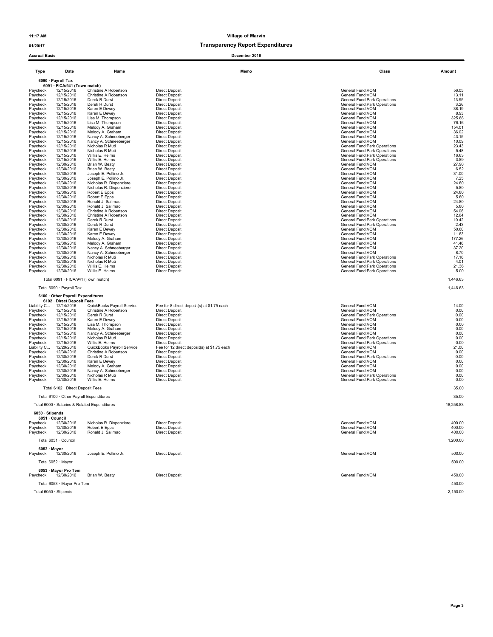01/20/17 Transparency Report Expenditures

| <b>Accrual Basis</b>                                                                                                                                                                                           |                                                                                                                                                                                                                                                                                                             |                                                                                                                                                                                                                                                                                                                                                                          | December 2016                                                                                                                                                                                                                                                                                                                                                                                                                                                                    |                                                                                                                                                                                                                                                                                                                                                                                                                                       |                                                                                                                                        |
|----------------------------------------------------------------------------------------------------------------------------------------------------------------------------------------------------------------|-------------------------------------------------------------------------------------------------------------------------------------------------------------------------------------------------------------------------------------------------------------------------------------------------------------|--------------------------------------------------------------------------------------------------------------------------------------------------------------------------------------------------------------------------------------------------------------------------------------------------------------------------------------------------------------------------|----------------------------------------------------------------------------------------------------------------------------------------------------------------------------------------------------------------------------------------------------------------------------------------------------------------------------------------------------------------------------------------------------------------------------------------------------------------------------------|---------------------------------------------------------------------------------------------------------------------------------------------------------------------------------------------------------------------------------------------------------------------------------------------------------------------------------------------------------------------------------------------------------------------------------------|----------------------------------------------------------------------------------------------------------------------------------------|
| Type                                                                                                                                                                                                           | Date                                                                                                                                                                                                                                                                                                        | Name                                                                                                                                                                                                                                                                                                                                                                     | Memo                                                                                                                                                                                                                                                                                                                                                                                                                                                                             | Class                                                                                                                                                                                                                                                                                                                                                                                                                                 | Amount                                                                                                                                 |
|                                                                                                                                                                                                                | 6090 · Payroll Tax<br>6091 · FICA/941 (Town match)                                                                                                                                                                                                                                                          |                                                                                                                                                                                                                                                                                                                                                                          |                                                                                                                                                                                                                                                                                                                                                                                                                                                                                  |                                                                                                                                                                                                                                                                                                                                                                                                                                       |                                                                                                                                        |
| Pavcheck<br>Paycheck<br>Paycheck<br>Paycheck<br>Paycheck<br>Paycheck<br>Paycheck<br>Paycheck<br>Paycheck                                                                                                       | 12/15/2016<br>12/15/2016<br>12/15/2016<br>12/15/2016<br>12/15/2016<br>12/15/2016<br>12/15/2016<br>12/15/2016<br>12/15/2016                                                                                                                                                                                  | Christine A Robertson<br>Christine A Robertson<br>Derek R Durst<br>Derek R Durst<br>Karen E Dewey<br>Karen E Dewey<br>Lisa M. Thompson<br>Lisa M. Thompson<br>Melody A. Graham                                                                                                                                                                                           | <b>Direct Deposit</b><br><b>Direct Deposit</b><br><b>Direct Deposit</b><br><b>Direct Deposit</b><br><b>Direct Deposit</b><br><b>Direct Deposit</b><br><b>Direct Deposit</b><br><b>Direct Deposit</b><br><b>Direct Deposit</b>                                                                                                                                                                                                                                                    | General Fund: VOM<br>General Fund:VOM<br>General Fund: Park Operations<br>General Fund: Park Operations<br>General Fund: VOM<br>General Fund: VOM<br>General Fund: VOM<br>General Fund: VOM<br>General Fund:VOM                                                                                                                                                                                                                       | 56.05<br>13.11<br>13.95<br>3.26<br>38.19<br>8.93<br>325.68<br>76.16<br>154.01                                                          |
| Paycheck<br>Paycheck<br>Paycheck<br>Paycheck<br>Paycheck<br>Paycheck<br>Paycheck<br>Paycheck<br>Paycheck<br>Paycheck<br>Paycheck<br>Paycheck                                                                   | 12/15/2016<br>12/15/2016<br>12/15/2016<br>12/15/2016<br>12/15/2016<br>12/15/2016<br>12/15/2016<br>12/30/2016<br>12/30/2016<br>12/30/2016<br>12/30/2016<br>12/30/2016                                                                                                                                        | Melody A. Graham<br>Nancy A. Schneeberger<br>Nancy A. Schneeberger<br>Nicholas R Muti<br>Nicholas R Muti<br>Willis E. Helms<br>Willis E. Helms<br>Brian W. Beaty<br>Brian W. Beaty<br>Joseph E. Pollino Jr.<br>Joseph E. Pollino Jr.<br>Nicholas R. Dispenziere                                                                                                          | <b>Direct Deposit</b><br><b>Direct Deposit</b><br><b>Direct Deposit</b><br><b>Direct Deposit</b><br><b>Direct Deposit</b><br><b>Direct Deposit</b><br><b>Direct Deposit</b><br><b>Direct Deposit</b><br><b>Direct Deposit</b><br><b>Direct Deposit</b><br><b>Direct Deposit</b><br><b>Direct Deposit</b>                                                                                                                                                                         | General Fund:VOM<br>General Fund: VOM<br>General Fund:VOM<br>General Fund: Park Operations<br>General Fund: Park Operations<br>General Fund: Park Operations<br>General Fund: Park Operations<br>General Fund: VOM<br>General Fund: VOM<br>General Fund: VOM<br>General Fund: VOM<br>General Fund: VOM                                                                                                                                | 36.02<br>43.15<br>10.09<br>23.43<br>5.48<br>16.63<br>3.89<br>27.90<br>6.52<br>31.00<br>7.25<br>24.80                                   |
| Paycheck<br>Paycheck<br>Paycheck<br>Paycheck<br>Paycheck<br>Paycheck<br>Paycheck<br>Paycheck<br>Paycheck<br>Paycheck<br>Paycheck<br>Paycheck<br>Paycheck<br>Paycheck                                           | 12/30/2016<br>12/30/2016<br>12/30/2016<br>12/30/2016<br>12/30/2016<br>12/30/2016<br>12/30/2016<br>12/30/2016<br>12/30/2016<br>12/30/2016<br>12/30/2016<br>12/30/2016<br>12/30/2016<br>12/30/2016                                                                                                            | Nicholas R. Dispenziere<br>Robert E Epps<br>Robert E Epps<br>Ronald J. Salimao<br>Ronald J. Salimao<br>Christine A Robertson<br>Christine A Robertson<br>Derek R Durst<br>Derek R Durst<br>Karen E Dewey<br>Karen E Dewey<br>Melody A. Graham<br>Melody A. Graham<br>Nancy A. Schneeberger                                                                               | <b>Direct Deposit</b><br><b>Direct Deposit</b><br><b>Direct Deposit</b><br><b>Direct Deposit</b><br><b>Direct Deposit</b><br><b>Direct Deposit</b><br><b>Direct Deposit</b><br><b>Direct Deposit</b><br><b>Direct Deposit</b><br><b>Direct Deposit</b><br><b>Direct Deposit</b><br><b>Direct Deposit</b><br><b>Direct Deposit</b><br><b>Direct Deposit</b>                                                                                                                       | General Fund:VOM<br>General Fund:VOM<br>General Fund:VOM<br>General Fund:VOM<br>General Fund:VOM<br>General Fund:VOM<br>General Fund: VOM<br>General Fund: Park Operations<br>General Fund: Park Operations<br>General Fund: VOM<br>General Fund: VOM<br>General Fund:VOM<br>General Fund:VOM<br>General Fund:VOM                                                                                                                     | 5.80<br>24.80<br>5.80<br>24.80<br>5.80<br>54.06<br>12.64<br>10.42<br>2.43<br>50.60<br>11.83<br>177.26<br>41.46<br>37.20                |
| Paycheck<br>Paycheck<br>Paycheck<br>Paycheck<br>Paycheck                                                                                                                                                       | 12/30/2016<br>12/30/2016<br>12/30/2016<br>12/30/2016<br>12/30/2016<br>Total 6091 · FICA/941 (Town match)<br>Total 6090 · Payroll Tax                                                                                                                                                                        | Nancy A. Schneeberger<br>Nicholas R Muti<br>Nicholas R Muti<br>Willis E. Helms<br>Willis E. Helms                                                                                                                                                                                                                                                                        | <b>Direct Deposit</b><br><b>Direct Deposit</b><br><b>Direct Deposit</b><br><b>Direct Deposit</b><br><b>Direct Deposit</b>                                                                                                                                                                                                                                                                                                                                                        | General Fund:VOM<br>General Fund: Park Operations<br>General Fund: Park Operations<br>General Fund: Park Operations<br>General Fund: Park Operations                                                                                                                                                                                                                                                                                  | 8.70<br>17.16<br>4.01<br>21.36<br>5.00<br>1,446.63<br>1,446.63                                                                         |
| Liability C<br>Paycheck<br>Paycheck<br>Paycheck<br>Paycheck<br>Paycheck<br>Paycheck<br>Paycheck<br>Paycheck<br>Liability C<br>Paycheck<br>Paycheck<br>Paycheck<br>Paycheck<br>Paycheck<br>Paycheck<br>Paycheck | 6100 Other Payroll Expenditures<br>6102 · Direct Deposit Fees<br>12/14/2016<br>12/15/2016<br>12/15/2016<br>12/15/2016<br>12/15/2016<br>12/15/2016<br>12/15/2016<br>12/15/2016<br>12/15/2016<br>12/29/2016<br>12/30/2016<br>12/30/2016<br>12/30/2016<br>12/30/2016<br>12/30/2016<br>12/30/2016<br>12/30/2016 | QuickBooks Payroll Service<br>Christine A Robertson<br>Derek R Durst<br>Karen E Dewey<br>Lisa M. Thompson<br>Melody A. Graham<br>Nancy A. Schneeberger<br>Nicholas R Muti<br>Willis E. Helms<br>QuickBooks Payroll Service<br>Christine A Robertson<br>Derek R Durst<br>Karen E Dewey<br>Melody A. Graham<br>Nancy A. Schneeberger<br>Nicholas R Muti<br>Willis E. Helms | Fee for 8 direct deposit(s) at \$1.75 each<br><b>Direct Deposit</b><br><b>Direct Deposit</b><br><b>Direct Deposit</b><br><b>Direct Deposit</b><br><b>Direct Deposit</b><br><b>Direct Deposit</b><br><b>Direct Deposit</b><br><b>Direct Deposit</b><br>Fee for 12 direct deposit(s) at \$1.75 each<br><b>Direct Deposit</b><br><b>Direct Deposit</b><br><b>Direct Deposit</b><br><b>Direct Deposit</b><br><b>Direct Deposit</b><br><b>Direct Deposit</b><br><b>Direct Deposit</b> | General Fund: VOM<br>General Fund:VOM<br>General Fund: Park Operations<br>General Fund: VOM<br>General Fund: VOM<br>General Fund:VOM<br>General Fund:VOM<br>General Fund: Park Operations<br>General Fund: Park Operations<br>General Fund:VOM<br>General Fund: VOM<br>General Fund: Park Operations<br>General Fund: VOM<br>General Fund: VOM<br>General Fund: VOM<br>General Fund: Park Operations<br>General Fund: Park Operations | 14.00<br>0.00<br>0.00<br>0.00<br>0.00<br>0.00<br>0.00<br>0.00<br>0.00<br>21.00<br>0.00<br>0.00<br>0.00<br>0.00<br>0.00<br>0.00<br>0.00 |
|                                                                                                                                                                                                                | Total 6102 · Direct Deposit Fees<br>Total 6100 · Other Payroll Expenditures                                                                                                                                                                                                                                 |                                                                                                                                                                                                                                                                                                                                                                          |                                                                                                                                                                                                                                                                                                                                                                                                                                                                                  |                                                                                                                                                                                                                                                                                                                                                                                                                                       | 35.00<br>35.00                                                                                                                         |
|                                                                                                                                                                                                                | Total 6000 · Salaries & Related Expenditures<br>6050 · Stipends                                                                                                                                                                                                                                             |                                                                                                                                                                                                                                                                                                                                                                          |                                                                                                                                                                                                                                                                                                                                                                                                                                                                                  |                                                                                                                                                                                                                                                                                                                                                                                                                                       | 18,258.83                                                                                                                              |
| Paycheck<br>Paycheck<br>Paycheck                                                                                                                                                                               | 6051 · Council<br>12/30/2016<br>12/30/2016<br>12/30/2016                                                                                                                                                                                                                                                    | Nicholas R. Dispenziere<br>Robert E Epps<br>Ronald J. Salimao                                                                                                                                                                                                                                                                                                            | <b>Direct Deposit</b><br><b>Direct Deposit</b><br><b>Direct Deposit</b>                                                                                                                                                                                                                                                                                                                                                                                                          | General Fund:VOM<br>General Fund: VOM<br>General Fund: VOM                                                                                                                                                                                                                                                                                                                                                                            | 400.00<br>400.00<br>400.00                                                                                                             |
|                                                                                                                                                                                                                | Total 6051 · Council                                                                                                                                                                                                                                                                                        |                                                                                                                                                                                                                                                                                                                                                                          |                                                                                                                                                                                                                                                                                                                                                                                                                                                                                  |                                                                                                                                                                                                                                                                                                                                                                                                                                       | 1,200.00                                                                                                                               |
| Paycheck                                                                                                                                                                                                       | $6052 \cdot$ Mayor<br>12/30/2016<br>Total 6052 · Mayor                                                                                                                                                                                                                                                      | Joseph E. Pollino Jr.                                                                                                                                                                                                                                                                                                                                                    | <b>Direct Deposit</b>                                                                                                                                                                                                                                                                                                                                                                                                                                                            | General Fund: VOM                                                                                                                                                                                                                                                                                                                                                                                                                     | 500.00<br>500.00                                                                                                                       |
| Paycheck                                                                                                                                                                                                       | 6053 · Mayor Pro Tem<br>12/30/2016                                                                                                                                                                                                                                                                          | Brian W. Beaty                                                                                                                                                                                                                                                                                                                                                           | <b>Direct Deposit</b>                                                                                                                                                                                                                                                                                                                                                                                                                                                            | General Fund: VOM                                                                                                                                                                                                                                                                                                                                                                                                                     | 450.00                                                                                                                                 |
|                                                                                                                                                                                                                | Total 6053 · Mayor Pro Tem                                                                                                                                                                                                                                                                                  |                                                                                                                                                                                                                                                                                                                                                                          |                                                                                                                                                                                                                                                                                                                                                                                                                                                                                  |                                                                                                                                                                                                                                                                                                                                                                                                                                       | 450.00                                                                                                                                 |

Total 6050 · Stipends 2,150.00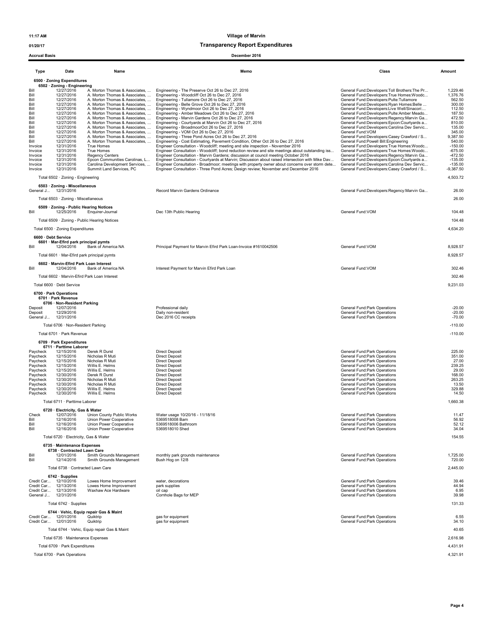01/20/17 Transparency Report Expenditures

| <b>Accrual Basis</b>                                                                                                                                           |                                                                                                                                                                                                                                                                                                                                                            |                                                                                                                                                                                        | December 2016                                                                                                                                                                                                                                                                                                                                                                                                                                                                                                                                                                                                                                                                                                                                                                                                                                                                                                                                                                                                                                                                                                                                                                                                                                                                                                                                                                                                                                                                                                                                                                                                                                          |                                                                                                                                                                                                                                                                                                                                                                                                                                                                                                                                                                                                                                                                                                                                                                                                                    |                                                                                                                                                                                                                        |
|----------------------------------------------------------------------------------------------------------------------------------------------------------------|------------------------------------------------------------------------------------------------------------------------------------------------------------------------------------------------------------------------------------------------------------------------------------------------------------------------------------------------------------|----------------------------------------------------------------------------------------------------------------------------------------------------------------------------------------|--------------------------------------------------------------------------------------------------------------------------------------------------------------------------------------------------------------------------------------------------------------------------------------------------------------------------------------------------------------------------------------------------------------------------------------------------------------------------------------------------------------------------------------------------------------------------------------------------------------------------------------------------------------------------------------------------------------------------------------------------------------------------------------------------------------------------------------------------------------------------------------------------------------------------------------------------------------------------------------------------------------------------------------------------------------------------------------------------------------------------------------------------------------------------------------------------------------------------------------------------------------------------------------------------------------------------------------------------------------------------------------------------------------------------------------------------------------------------------------------------------------------------------------------------------------------------------------------------------------------------------------------------------|--------------------------------------------------------------------------------------------------------------------------------------------------------------------------------------------------------------------------------------------------------------------------------------------------------------------------------------------------------------------------------------------------------------------------------------------------------------------------------------------------------------------------------------------------------------------------------------------------------------------------------------------------------------------------------------------------------------------------------------------------------------------------------------------------------------------|------------------------------------------------------------------------------------------------------------------------------------------------------------------------------------------------------------------------|
| <b>Type</b>                                                                                                                                                    | Date                                                                                                                                                                                                                                                                                                                                                       | Name                                                                                                                                                                                   | Memo                                                                                                                                                                                                                                                                                                                                                                                                                                                                                                                                                                                                                                                                                                                                                                                                                                                                                                                                                                                                                                                                                                                                                                                                                                                                                                                                                                                                                                                                                                                                                                                                                                                   | Class                                                                                                                                                                                                                                                                                                                                                                                                                                                                                                                                                                                                                                                                                                                                                                                                              | Amount                                                                                                                                                                                                                 |
| Bill<br>Bill<br>Bill<br>Bill<br>Bill<br>Bill<br>Bill<br>Bill<br>Bill<br>Bill<br>Bill<br>Bill<br>Invoice<br>Invoice<br>Invoice<br>Invoice<br>Invoice<br>Invoice | 6500 · Zoning Expenditures<br>6502 · Zoning - Engineering<br>12/27/2016<br>12/27/2016<br>12/27/2016<br>12/27/2016<br>12/27/2016<br>12/27/2016<br>12/27/2016<br>12/27/2016<br>12/27/2016<br>12/27/2016<br>12/27/2016<br>12/27/2016<br>12/31/2016<br>12/31/2016<br>12/31/2016<br>12/31/2016<br>12/31/2016<br>12/31/2016<br>Total 6502 · Zoning - Engineering | True Homes<br>True Homes<br><b>Regency Centers</b><br>Epcon Communities Carolinas, L<br>Carolina Development Services,<br>Summit Land Services, PC                                     | A. Morton Thomas & Associates,  Engineering - The Preserve Oct 26 to Dec 27, 2016<br>A. Morton Thomas & Associates,  Engineering - Woodcliff Oct 26 to Dec 27, 2016<br>A. Morton Thomas & Associates,  Engineering - Tullamore Oct 26 to Dec 27, 2016<br>A. Morton Thomas & Associates,  Engineering - Belle Grove Oct 26 to Dec 27, 2016<br>A. Morton Thomas & Associates,  Engineering - Wyndmoor Oct 26 to Dec 27, 2016<br>A. Morton Thomas & Associates,  Engineering - Amber Meadows Oct 26 to Dec 27, 2016<br>A. Morton Thomas & Associates,  Engineering - Marvin Gardens Oct 26 to Dec 27, 2016<br>A. Morton Thomas & Associates,  Engineering - Courtyards at Marvin Oct 26 to Dec 27, 2016<br>A. Morton Thomas & Associates,  Engineering - BroadmoorOct 26 to Dec 27, 2016<br>A. Morton Thomas & Associates,  Engineering - VOM Oct 26 to Dec 27, 2016<br>A. Morton Thomas & Associates,  Engineering - Three Pond Acres Oct 26 to Dec 27, 2016<br>A. Morton Thomas & Associates,  Engineering - Cost Estimating, Pavement Condition, Other Oct 26 to Dec 27, 2016<br>Engineer Consultation - Woodcliff; meeting and site inspection - November 2016<br>Engineer Consultation - Woodcliff; bond reduction review and site meetings about outstanding iss<br>Engineer Consultation - Marvin Gardens; discussion at council meeting October 2016<br>Engineer Consultation - Courtyards at Marvin; Discussion about raised intersection with Mike Dav<br>Engineer Consultation - Broadmoor; meetings with property owner about concerns over storm dete<br>Engineer Consultation - Three Pond Acres; Design review; November and December 2016 | General Fund:Developers:Toll Brothers:The Pr<br>General Fund:Developers:True Homes:Woodc<br>General Fund:Developers:Pulte:Tullamore<br>General Fund:Developers:Ryan Homes:Belle<br>General Fund:Developers:Live Well/Sinacori:<br>General Fund:Developers:Pulte:Amber Meado<br>General Fund:Developers:Regency:Marvin Ga<br>General Fund:Developers:Epcon:Courtyards a<br>General Fund:Developers:Carolina Dev Servic<br>General Fund: VOM<br>General Fund:Developers:Casey Crawford / S<br>General Fund: Powell Bill: Engineering<br>General Fund:Developers:True Homes:Woodc<br>General Fund:Developers:True Homes:Woodc<br>General Fund:Developers:Regency:Marvin Ga<br>General Fund:Developers:Epcon:Courtyards a<br>General Fund:Developers:Carolina Dev Servic<br>General Fund:Developers:Casey Crawford / S | 1,229.46<br>1,376.76<br>562.50<br>300.00<br>112.50<br>187.50<br>472.50<br>810.00<br>135.00<br>345.00<br>9,387.50<br>540.00<br>$-150.00$<br>$-675.00$<br>$-472.50$<br>$-135.00$<br>$-135.00$<br>$-9,387.50$<br>4,503.72 |
| General J 12/31/2016                                                                                                                                           | 6503 · Zoning - Miscellaneous                                                                                                                                                                                                                                                                                                                              |                                                                                                                                                                                        | Record Marvin Gardens Ordinance                                                                                                                                                                                                                                                                                                                                                                                                                                                                                                                                                                                                                                                                                                                                                                                                                                                                                                                                                                                                                                                                                                                                                                                                                                                                                                                                                                                                                                                                                                                                                                                                                        | General Fund:Developers:Regency:Marvin Ga                                                                                                                                                                                                                                                                                                                                                                                                                                                                                                                                                                                                                                                                                                                                                                          | 26.00                                                                                                                                                                                                                  |
| Bill                                                                                                                                                           | Total 6503 · Zoning - Miscellaneous<br>6509 · Zoning - Public Hearing Notices<br>12/25/2016                                                                                                                                                                                                                                                                | Enquirer-Journal<br>Total 6509 · Zoning - Public Hearing Notices                                                                                                                       | Dec 13th Public Hearing                                                                                                                                                                                                                                                                                                                                                                                                                                                                                                                                                                                                                                                                                                                                                                                                                                                                                                                                                                                                                                                                                                                                                                                                                                                                                                                                                                                                                                                                                                                                                                                                                                | General Fund: VOM                                                                                                                                                                                                                                                                                                                                                                                                                                                                                                                                                                                                                                                                                                                                                                                                  | 26.00<br>104.48<br>104.48                                                                                                                                                                                              |
| 6600 · Debt Service<br>Bill                                                                                                                                    | Total 6500 · Zoning Expenditures<br>6601 · Mar-Efird park principal pymts<br>12/04/2016                                                                                                                                                                                                                                                                    | Bank of America NA<br>Total 6601 · Mar-Efird park principal pymts                                                                                                                      | Principal Payment for Marvin Efird Park Loan-Invoice #1610042506                                                                                                                                                                                                                                                                                                                                                                                                                                                                                                                                                                                                                                                                                                                                                                                                                                                                                                                                                                                                                                                                                                                                                                                                                                                                                                                                                                                                                                                                                                                                                                                       | General Fund:VOM                                                                                                                                                                                                                                                                                                                                                                                                                                                                                                                                                                                                                                                                                                                                                                                                   | 4,634.20<br>8,928.57<br>8,928.57                                                                                                                                                                                       |
| Bill                                                                                                                                                           | 6602 · Marvin-Efird Park Loan Interest<br>12/04/2016<br>Total 6600 · Debt Service                                                                                                                                                                                                                                                                          | Bank of America NA<br>Total 6602 · Marvin-Efird Park Loan Interest                                                                                                                     | Interest Payment for Marvin Efird Park Loan                                                                                                                                                                                                                                                                                                                                                                                                                                                                                                                                                                                                                                                                                                                                                                                                                                                                                                                                                                                                                                                                                                                                                                                                                                                                                                                                                                                                                                                                                                                                                                                                            | General Fund:VOM                                                                                                                                                                                                                                                                                                                                                                                                                                                                                                                                                                                                                                                                                                                                                                                                   | 302.46<br>302.46<br>9,231.03                                                                                                                                                                                           |
| Deposit<br>Deposit<br>General J                                                                                                                                | 6700 · Park Operations<br>6701 · Park Revenue<br>6706 · Non-Resident Parking<br>12/07/2016<br>12/29/2016<br>12/31/2016<br>Total 6706 · Non-Resident Parking                                                                                                                                                                                                |                                                                                                                                                                                        | Professional daily<br>Daily non-resident<br>Dec 2016 CC receipts                                                                                                                                                                                                                                                                                                                                                                                                                                                                                                                                                                                                                                                                                                                                                                                                                                                                                                                                                                                                                                                                                                                                                                                                                                                                                                                                                                                                                                                                                                                                                                                       | General Fund:Park Operations<br>General Fund: Park Operations<br>General Fund: Park Operations                                                                                                                                                                                                                                                                                                                                                                                                                                                                                                                                                                                                                                                                                                                     | $-20.00$<br>$-20.00$<br>$-70.00$<br>$-110.00$                                                                                                                                                                          |
|                                                                                                                                                                | Total 6701 · Park Revenue<br>6709 · Park Expenditures<br>6711 · Parttime Laborer                                                                                                                                                                                                                                                                           |                                                                                                                                                                                        |                                                                                                                                                                                                                                                                                                                                                                                                                                                                                                                                                                                                                                                                                                                                                                                                                                                                                                                                                                                                                                                                                                                                                                                                                                                                                                                                                                                                                                                                                                                                                                                                                                                        |                                                                                                                                                                                                                                                                                                                                                                                                                                                                                                                                                                                                                                                                                                                                                                                                                    | $-110.00$                                                                                                                                                                                                              |
| Paycheck<br>Paycheck<br>Paycheck<br>Paycheck<br>Paycheck<br>Paycheck<br>Paycheck<br>Paycheck<br>Paycheck<br>Paycheck                                           | 12/15/2016<br>12/15/2016<br>12/15/2016<br>12/15/2016<br>12/15/2016<br>12/30/2016<br>12/30/2016<br>12/30/2016<br>12/30/2016<br>12/30/2016                                                                                                                                                                                                                   | Derek R Durst<br>Nicholas R Muti<br>Nicholas R Muti<br>Willis E. Helms<br>Willis E. Helms<br>Derek R Durst<br>Nicholas R Muti<br>Nicholas R Muti<br>Willis E. Helms<br>Willis E. Helms | <b>Direct Deposit</b><br><b>Direct Deposit</b><br><b>Direct Deposit</b><br><b>Direct Deposit</b><br><b>Direct Deposit</b><br><b>Direct Deposit</b><br><b>Direct Deposit</b><br><b>Direct Deposit</b><br><b>Direct Deposit</b><br><b>Direct Deposit</b>                                                                                                                                                                                                                                                                                                                                                                                                                                                                                                                                                                                                                                                                                                                                                                                                                                                                                                                                                                                                                                                                                                                                                                                                                                                                                                                                                                                                 | General Fund:Park Operations<br>General Fund: Park Operations<br>General Fund: Park Operations<br>General Fund:Park Operations<br>General Fund:Park Operations<br>General Fund: Park Operations<br>General Fund: Park Operations<br>General Fund: Park Operations<br>General Fund:Park Operations<br>General Fund:Park Operations                                                                                                                                                                                                                                                                                                                                                                                                                                                                                  | 225.00<br>351.00<br>27.00<br>239.25<br>29.00<br>168.00<br>263.25<br>13.50<br>329.88<br>14.50                                                                                                                           |
|                                                                                                                                                                | Total 6711 · Parttime Laborer                                                                                                                                                                                                                                                                                                                              |                                                                                                                                                                                        |                                                                                                                                                                                                                                                                                                                                                                                                                                                                                                                                                                                                                                                                                                                                                                                                                                                                                                                                                                                                                                                                                                                                                                                                                                                                                                                                                                                                                                                                                                                                                                                                                                                        |                                                                                                                                                                                                                                                                                                                                                                                                                                                                                                                                                                                                                                                                                                                                                                                                                    | 1,660.38                                                                                                                                                                                                               |
| Check<br>Bill<br>Bill<br>Bill                                                                                                                                  | 6720 · Electricity, Gas & Water<br>12/07/2016<br>12/16/2016<br>12/16/2016<br>12/16/2016                                                                                                                                                                                                                                                                    | Union County Public Works<br>Union Power Cooperative<br>Union Power Cooperative<br>Union Power Cooperative                                                                             | Water usage 10/20/16 - 11/18/16<br>5369518008 Barn<br>5369518006 Bathroom<br>5369518010 Shed                                                                                                                                                                                                                                                                                                                                                                                                                                                                                                                                                                                                                                                                                                                                                                                                                                                                                                                                                                                                                                                                                                                                                                                                                                                                                                                                                                                                                                                                                                                                                           | <b>General Fund:Park Operations</b><br>General Fund: Park Operations<br>General Fund: Park Operations<br>General Fund:Park Operations                                                                                                                                                                                                                                                                                                                                                                                                                                                                                                                                                                                                                                                                              | 11.47<br>56.92<br>52.12<br>34.04                                                                                                                                                                                       |
|                                                                                                                                                                | Total 6720 · Electricity, Gas & Water<br>6735 · Maintenance Expenses                                                                                                                                                                                                                                                                                       |                                                                                                                                                                                        |                                                                                                                                                                                                                                                                                                                                                                                                                                                                                                                                                                                                                                                                                                                                                                                                                                                                                                                                                                                                                                                                                                                                                                                                                                                                                                                                                                                                                                                                                                                                                                                                                                                        |                                                                                                                                                                                                                                                                                                                                                                                                                                                                                                                                                                                                                                                                                                                                                                                                                    | 154.55                                                                                                                                                                                                                 |
| Bill<br>Bill                                                                                                                                                   | 6738 · Contracted Lawn Care<br>12/01/2016<br>12/14/2016                                                                                                                                                                                                                                                                                                    | Smith Grounds Management<br>Smith Grounds Management                                                                                                                                   | monthly park grounds maintenance<br>Bush Hog on 12/8                                                                                                                                                                                                                                                                                                                                                                                                                                                                                                                                                                                                                                                                                                                                                                                                                                                                                                                                                                                                                                                                                                                                                                                                                                                                                                                                                                                                                                                                                                                                                                                                   | General Fund:Park Operations<br>General Fund: Park Operations                                                                                                                                                                                                                                                                                                                                                                                                                                                                                                                                                                                                                                                                                                                                                      | 1,725.00<br>720.00                                                                                                                                                                                                     |
|                                                                                                                                                                | Total 6738 · Contracted Lawn Care<br>$6742 \cdot$ Supplies                                                                                                                                                                                                                                                                                                 |                                                                                                                                                                                        |                                                                                                                                                                                                                                                                                                                                                                                                                                                                                                                                                                                                                                                                                                                                                                                                                                                                                                                                                                                                                                                                                                                                                                                                                                                                                                                                                                                                                                                                                                                                                                                                                                                        |                                                                                                                                                                                                                                                                                                                                                                                                                                                                                                                                                                                                                                                                                                                                                                                                                    | 2,445.00                                                                                                                                                                                                               |
| Credit Car 12/10/2016<br>Credit Car 12/13/2016<br>Credit Car 12/13/2016<br>General J 12/31/2016                                                                |                                                                                                                                                                                                                                                                                                                                                            | Lowes Home Improvement<br>Lowes Home Improvement<br>Waxhaw Ace Hardware                                                                                                                | water, decorations<br>park supplies<br>oil cap<br>Cornhole Bags for MEP                                                                                                                                                                                                                                                                                                                                                                                                                                                                                                                                                                                                                                                                                                                                                                                                                                                                                                                                                                                                                                                                                                                                                                                                                                                                                                                                                                                                                                                                                                                                                                                | General Fund:Park Operations<br>General Fund: Park Operations<br>General Fund: Park Operations<br>General Fund: Park Operations                                                                                                                                                                                                                                                                                                                                                                                                                                                                                                                                                                                                                                                                                    | 39.46<br>44.94<br>6.95<br>39.98                                                                                                                                                                                        |
|                                                                                                                                                                | Total 6742 · Supplies                                                                                                                                                                                                                                                                                                                                      | 6744 · Vehic, Equip repair Gas & Maint                                                                                                                                                 |                                                                                                                                                                                                                                                                                                                                                                                                                                                                                                                                                                                                                                                                                                                                                                                                                                                                                                                                                                                                                                                                                                                                                                                                                                                                                                                                                                                                                                                                                                                                                                                                                                                        |                                                                                                                                                                                                                                                                                                                                                                                                                                                                                                                                                                                                                                                                                                                                                                                                                    | 131.33                                                                                                                                                                                                                 |
| Credit Car 12/01/2016<br>Credit Car 12/01/2016                                                                                                                 |                                                                                                                                                                                                                                                                                                                                                            | Quiktrip<br>Quiktrip                                                                                                                                                                   | gas for equipment<br>gas for equipment                                                                                                                                                                                                                                                                                                                                                                                                                                                                                                                                                                                                                                                                                                                                                                                                                                                                                                                                                                                                                                                                                                                                                                                                                                                                                                                                                                                                                                                                                                                                                                                                                 | General Fund:Park Operations<br>General Fund: Park Operations                                                                                                                                                                                                                                                                                                                                                                                                                                                                                                                                                                                                                                                                                                                                                      | 6.55<br>34.10                                                                                                                                                                                                          |
|                                                                                                                                                                | Total 6735 · Maintenance Expenses                                                                                                                                                                                                                                                                                                                          | Total 6744 · Vehic, Equip repair Gas & Maint                                                                                                                                           |                                                                                                                                                                                                                                                                                                                                                                                                                                                                                                                                                                                                                                                                                                                                                                                                                                                                                                                                                                                                                                                                                                                                                                                                                                                                                                                                                                                                                                                                                                                                                                                                                                                        |                                                                                                                                                                                                                                                                                                                                                                                                                                                                                                                                                                                                                                                                                                                                                                                                                    | 40.65<br>2,616.98                                                                                                                                                                                                      |
|                                                                                                                                                                | Total 6709 · Park Expenditures                                                                                                                                                                                                                                                                                                                             |                                                                                                                                                                                        |                                                                                                                                                                                                                                                                                                                                                                                                                                                                                                                                                                                                                                                                                                                                                                                                                                                                                                                                                                                                                                                                                                                                                                                                                                                                                                                                                                                                                                                                                                                                                                                                                                                        |                                                                                                                                                                                                                                                                                                                                                                                                                                                                                                                                                                                                                                                                                                                                                                                                                    | 4,431.91                                                                                                                                                                                                               |
|                                                                                                                                                                | Total 6700 · Park Operations                                                                                                                                                                                                                                                                                                                               |                                                                                                                                                                                        |                                                                                                                                                                                                                                                                                                                                                                                                                                                                                                                                                                                                                                                                                                                                                                                                                                                                                                                                                                                                                                                                                                                                                                                                                                                                                                                                                                                                                                                                                                                                                                                                                                                        |                                                                                                                                                                                                                                                                                                                                                                                                                                                                                                                                                                                                                                                                                                                                                                                                                    | 4,321.91                                                                                                                                                                                                               |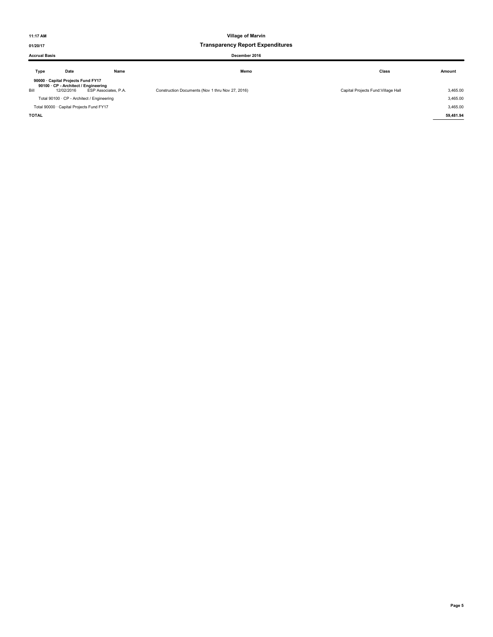### 01/20/17 Transparency Report Expenditures

### Accrual Basis December 2016

| Type | Date                                                                                     | Name                 | Memo                                             | Class                               | Amount   |
|------|------------------------------------------------------------------------------------------|----------------------|--------------------------------------------------|-------------------------------------|----------|
| Bill | 90000 · Capital Projects Fund FY17<br>90100 · CP - Architect / Engineering<br>12/02/2016 | ESP Associates, P.A. | Construction Documents (Nov 1 thru Nov 27, 2016) | Capital Projects Fund: Village Hall | 3,465.00 |
|      | Total 90100 · CP - Architect / Engineering                                               |                      |                                                  |                                     | 3,465.00 |
|      | Total 90000 · Capital Projects Fund FY17                                                 |                      |                                                  |                                     | 3,465.00 |

TOTAL 59,481.94